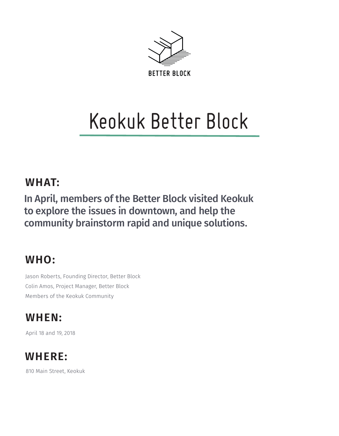

# Keokuk Better Block

#### **WHAT:**

In April, members of the Better Block visited Keokuk to explore the issues in downtown, and help the community brainstorm rapid and unique solutions.

#### **WHO:**

Jason Roberts, Founding Director, Better Block Colin Amos, Project Manager, Better Block Members of the Keokuk Community

### **WHEN:**

April 18 and 19, 2018

## **WHERE:**

810 Main Street, Keokuk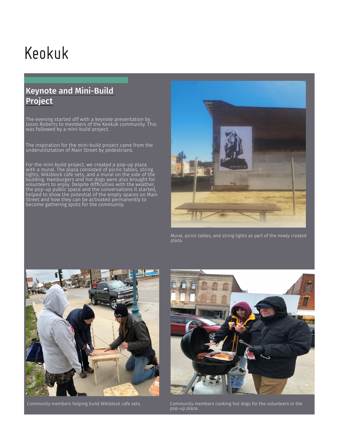## Keokuk

#### Keynote and Mini-Build Project

The evening started off with a keynote presentation by Jason Roberts to members of the Keokuk community. This was followed by a mini-build project.

The inspiration for the mini-build project came from the underutiliztation of Main Street by pedestrians.

For the mini-build project, we created a pop-up plaza with a mural. The plaza consisted of picnic tables, string lights, Wikiblock cafe sets, and a mural on the side of the building. Hamburgers and hot dogs were also brought for volunteers to enjoy. Despite difficulties with the weather, the pop-up public space and the conversations it started, helped to show the potential of the empty spaces on Main Street and how they can be activated permanently to become gathering spots for the community.



Mural, picnic tables, and string lights as part of the newly created plaza.



Community members helping build Wikiblock cafe sets.



Community members cooking hot dogs for the volunteers in the pop-up plaza.